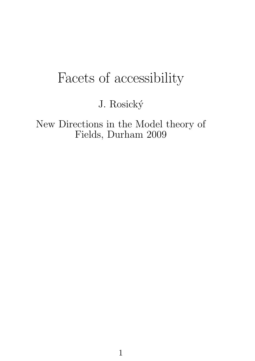## Facets of accessibility

J. Rosický

New Directions in the Model theory of Fields, Durham 2009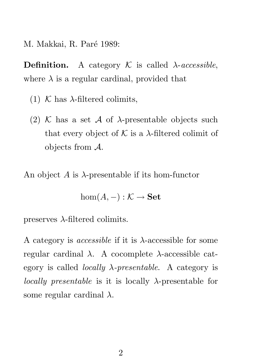M. Makkai, R. Paré 1989:

**Definition.** A category  $\mathcal{K}$  is called  $\lambda$ -accessible, where  $\lambda$  is a regular cardinal, provided that

- (1) K has  $\lambda$ -filtered colimits,
- (2) K has a set A of  $\lambda$ -presentable objects such that every object of  $K$  is a  $\lambda$ -filtered colimit of objects from A.

An object A is  $\lambda$ -presentable if its hom-functor

$$
\hom(A,-): \mathcal{K} \to \mathbf{Set}
$$

preserves  $\lambda$ -filtered colimits.

A category is *accessible* if it is  $\lambda$ -accessible for some regular cardinal  $\lambda$ . A cocomplete  $\lambda$ -accessible category is called *locally*  $\lambda$ *-presentable*. A category is *locally presentable* is it is locally  $\lambda$ -presentable for some regular cardinal  $\lambda$ .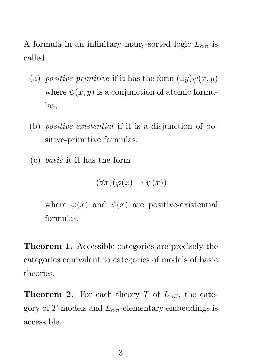A formula in an infinitary many-sorted logic  $L_{\alpha\beta}$  is called

- (a) positive-primitive if it has the form  $(\exists y)\psi(x, y)$ where  $\psi(x, y)$  is a conjunction of atomic formulas,
- (b) positive-existential if it is a disjunction of positive-primitive formulas,
- (c) basic it it has the form

$$
(\forall x)(\varphi(x)\to\psi(x))
$$

where  $\varphi(x)$  and  $\psi(x)$  are positive-existential formulas.

Theorem 1. Accessible categories are precisely the categories equivalent to categories of models of basic theories.

**Theorem 2.** For each theory T of  $L_{\alpha\beta}$ , the category of T-models and  $L_{\alpha\beta}$ -elementary embeddings is accessible.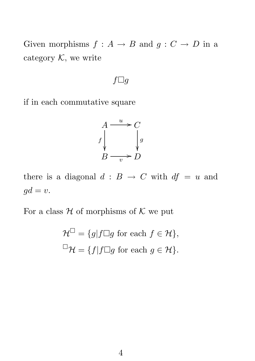Given morphisms  $f : A \rightarrow B$  and  $g : C \rightarrow D$  in a category  $K$ , we write

## $f \square g$

if in each commutative square

$$
A \xrightarrow{u} C
$$
  

$$
f \downarrow g
$$
  

$$
B \xrightarrow{v} D
$$

there is a diagonal  $d : B \to C$  with  $df = u$  and  $gd = v.$ 

For a class  $H$  of morphisms of  $K$  we put

$$
\mathcal{H}^{\square} = \{g | f \square g \text{ for each } f \in \mathcal{H} \},
$$
  

$$
\square \mathcal{H} = \{f | f \square g \text{ for each } g \in \mathcal{H} \}.
$$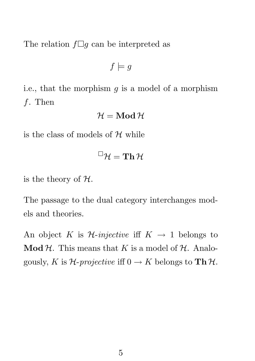The relation  $f \Box g$  can be interpreted as

$$
f \models g
$$

i.e., that the morphism  $g$  is a model of a morphism f. Then

$$
\mathcal{H}=\mathbf{Mod}\,\mathcal{H}
$$

is the class of models of  $H$  while

$$
{}^{\square}\mathcal{H}=\mathbf{Th}\,\mathcal{H}
$$

is the theory of  $H$ .

The passage to the dual category interchanges models and theories.

An object K is  $\mathcal{H}\text{-}\text{injective}$  iff  $K \to 1$  belongs to **Mod H.** This means that K is a model of H. Analogously, K is  $\mathcal{H}\text{-}projective \text{ iff } 0 \to K \text{ belongs to } \textbf{Th } \mathcal{H}.$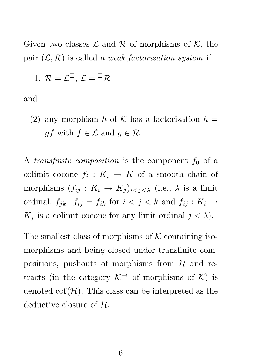Given two classes  $\mathcal L$  and  $\mathcal R$  of morphisms of  $\mathcal K$ , the pair  $(\mathcal{L}, \mathcal{R})$  is called a *weak factorization system* if

1. 
$$
\mathcal{R} = \mathcal{L}^{\square}, \mathcal{L} = {}^{\square} \mathcal{R}
$$

and

(2) any morphism h of K has a factorization  $h =$  $gf$  with  $f \in \mathcal{L}$  and  $g \in \mathcal{R}$ .

A transfinite composition is the component  $f_0$  of a colimit cocone  $f_i: K_i \to K$  of a smooth chain of morphisms  $(f_{ij}: K_i \to K_j)_{i \leq j \leq \lambda}$  (i.e.,  $\lambda$  is a limit ordinal,  $f_{jk} \cdot f_{ij} = f_{ik}$  for  $i < j < k$  and  $f_{ij} : K_i \rightarrow$  $K_j$  is a colimit cocone for any limit ordinal  $j < \lambda$ ).

The smallest class of morphisms of  $K$  containing isomorphisms and being closed under transfinite compositions, pushouts of morphisms from  $H$  and retracts (in the category  $K^{\rightarrow}$  of morphisms of K) is denoted  $\text{cof}(\mathcal{H})$ . This class can be interpreted as the deductive closure of  $H$ .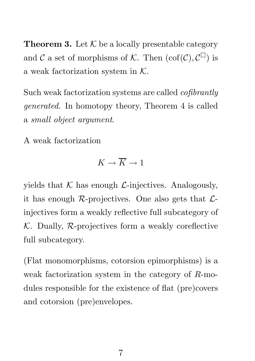**Theorem 3.** Let  $K$  be a locally presentable category and  $\mathcal C$  a set of morphisms of  $\mathcal K$ . Then  $(\text{cof}(\mathcal C), \mathcal C^{\square})$  is a weak factorization system in  $K$ .

Such weak factorization systems are called *cofibrantly* generated. In homotopy theory, Theorem 4 is called a small object argument.

A weak factorization

$$
K \to \overline{K} \to 1
$$

yields that  $K$  has enough  $\mathcal{L}$ -injectives. Analogously, it has enough  $\mathcal{R}$ -projectives. One also gets that  $\mathcal{L}$ injectives form a weakly reflective full subcategory of  $K$ . Dually,  $R$ -projectives form a weakly coreflective full subcategory.

(Flat monomorphisms, cotorsion epimorphisms) is a weak factorization system in the category of R-modules responsible for the existence of flat (pre)covers and cotorsion (pre)envelopes.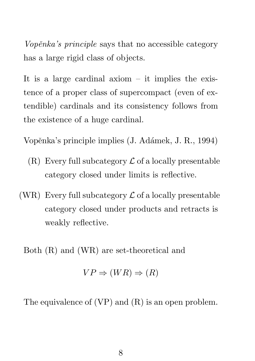Vopěnka's principle says that no accessible category has a large rigid class of objects.

It is a large cardinal axiom  $-$  it implies the existence of a proper class of supercompact (even of extendible) cardinals and its consistency follows from the existence of a huge cardinal.

Vopěnka's principle implies (J. Adámek, J. R., 1994)

- $(R)$  Every full subcategory  $\mathcal L$  of a locally presentable category closed under limits is reflective.
- (WR) Every full subcategory  $\mathcal L$  of a locally presentable category closed under products and retracts is weakly reflective.

Both (R) and (WR) are set-theoretical and

$$
VP \Rightarrow (WR) \Rightarrow (R)
$$

The equivalence of  $(VP)$  and  $(R)$  is an open problem.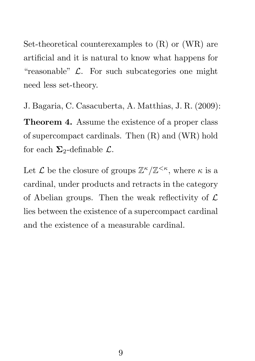Set-theoretical counterexamples to (R) or (WR) are artificial and it is natural to know what happens for "reasonable"  $\mathcal{L}$ . For such subcategories one might need less set-theory.

J. Bagaria, C. Casacuberta, A. Matthias, J. R. (2009): Theorem 4. Assume the existence of a proper class of supercompact cardinals. Then (R) and (WR) hold for each  $\Sigma_2$ -definable  $\mathcal{L}$ .

Let  $\mathcal L$  be the closure of groups  $\mathbb Z^\kappa/\mathbb Z^{\leq\kappa}$ , where  $\kappa$  is a cardinal, under products and retracts in the category of Abelian groups. Then the weak reflectivity of  $\mathcal L$ lies between the existence of a supercompact cardinal and the existence of a measurable cardinal.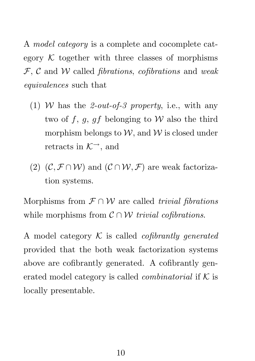A model category is a complete and cocomplete category  $K$  together with three classes of morphisms  $F, C$  and W called *fibrations, cofibrations* and weak equivalences such that

- (1) W has the 2-out-of-3 property, i.e., with any two of f, g, gf belonging to W also the third morphism belongs to  $W$ , and  $W$  is closed under retracts in  $K^{\rightarrow}$ , and
- (2)  $(C, \mathcal{F} \cap \mathcal{W})$  and  $(C \cap \mathcal{W}, \mathcal{F})$  are weak factorization systems.

Morphisms from  $\mathcal{F} \cap \mathcal{W}$  are called trivial fibrations while morphisms from  $\mathcal{C} \cap \mathcal{W}$  trivial cofibrations.

A model category  $K$  is called *cofibrantly generated* provided that the both weak factorization systems above are cofibrantly generated. A cofibrantly generated model category is called *combinatorial* if  $K$  is locally presentable.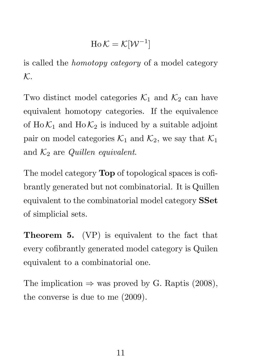$$
\mathrm{Ho}\,\mathcal{K}=\mathcal{K}[\mathcal{W}^{-1}]
$$

is called the homotopy category of a model category K.

Two distinct model categories  $\mathcal{K}_1$  and  $\mathcal{K}_2$  can have equivalent homotopy categories. If the equivalence of  $Ho\mathcal{K}_1$  and  $Ho\mathcal{K}_2$  is induced by a suitable adjoint pair on model categories  $\mathcal{K}_1$  and  $\mathcal{K}_2$ , we say that  $\mathcal{K}_1$ and  $K_2$  are *Quillen equivalent*.

The model category **Top** of topological spaces is cofibrantly generated but not combinatorial. It is Quillen equivalent to the combinatorial model category SSet of simplicial sets.

Theorem 5. (VP) is equivalent to the fact that every cofibrantly generated model category is Quilen equivalent to a combinatorial one.

The implication  $\Rightarrow$  was proved by G. Raptis (2008), the converse is due to me (2009).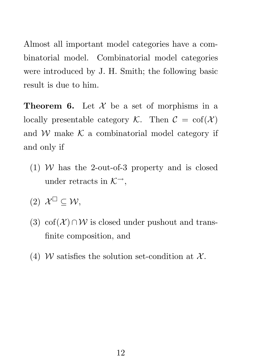Almost all important model categories have a combinatorial model. Combinatorial model categories were introduced by J. H. Smith; the following basic result is due to him.

**Theorem 6.** Let  $\mathcal{X}$  be a set of morphisms in a locally presentable category  $K$ . Then  $C = \text{cof}(\mathcal{X})$ and  $W$  make  $K$  a combinatorial model category if and only if

- (1) W has the 2-out-of-3 property and is closed under retracts in  $K^{\rightarrow}$ ,
- (2)  $\mathcal{X}^{\square} \subseteq \mathcal{W},$
- (3) cof( $\mathcal{X}$ )∩W is closed under pushout and transfinite composition, and
- (4) W satisfies the solution set-condition at  $\mathcal{X}$ .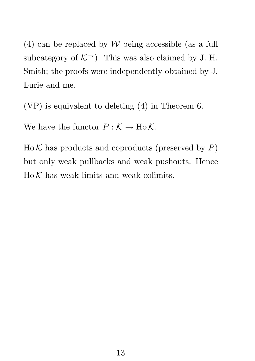(4) can be replaced by  $W$  being accessible (as a full subcategory of  $K^{\rightarrow}$ ). This was also claimed by J. H. Smith; the proofs were independently obtained by J. Lurie and me.

(VP) is equivalent to deleting (4) in Theorem 6.

We have the functor  $P : \mathcal{K} \to \text{Ho}\,\mathcal{K}.$ 

 $H_0 K$  has products and coproducts (preserved by  $P$ ) but only weak pullbacks and weak pushouts. Hence  $HoK$  has weak limits and weak colimits.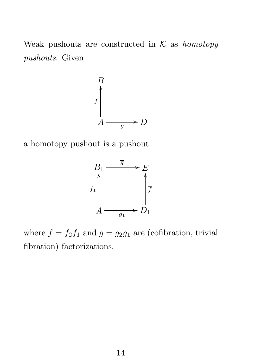Weak pushouts are constructed in  $K$  as homotopy pushouts. Given



a homotopy pushout is a pushout



where  $f = f_2 f_1$  and  $g = g_2 g_1$  are (cofibration, trivial fibration) factorizations.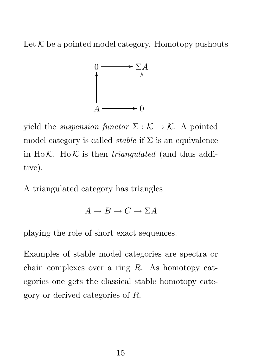Let  $K$  be a pointed model category. Homotopy pushouts



yield the *suspension functor*  $\Sigma : \mathcal{K} \to \mathcal{K}$ . A pointed model category is called *stable* if  $\Sigma$  is an equivalence in Ho K. Ho K is then *triangulated* (and thus additive).

A triangulated category has triangles

$$
A \to B \to C \to \Sigma A
$$

playing the role of short exact sequences.

Examples of stable model categories are spectra or chain complexes over a ring R. As homotopy categories one gets the classical stable homotopy category or derived categories of R.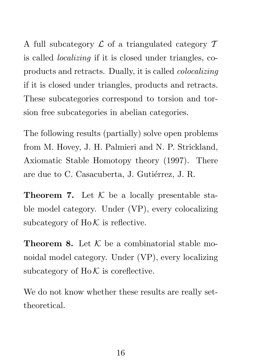A full subcategory  $\mathcal L$  of a triangulated category  $\mathcal T$ is called localizing if it is closed under triangles, coproducts and retracts. Dually, it is called colocalizing if it is closed under triangles, products and retracts. These subcategories correspond to torsion and torsion free subcategories in abelian categories.

The following results (partially) solve open problems from M. Hovey, J. H. Palmieri and N. P. Strickland, Axiomatic Stable Homotopy theory (1997). There are due to C. Casacuberta, J. Gutiérrez, J. R.

**Theorem 7.** Let  $K$  be a locally presentable stable model category. Under (VP), every colocalizing subcategory of  $H_0 \mathcal{K}$  is reflective.

**Theorem 8.** Let  $K$  be a combinatorial stable monoidal model category. Under (VP), every localizing subcategory of  $H_0 \mathcal{K}$  is coreflective.

We do not know whether these results are really settheoretical.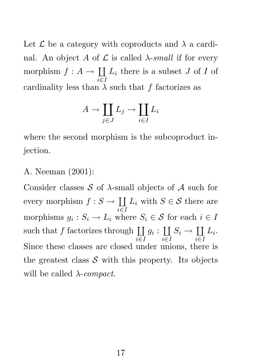Let  $\mathcal L$  be a category with coproducts and  $\lambda$  a cardinal. An object A of  $\mathcal L$  is called  $\lambda$ -small if for every morphism  $f: A \to \coprod$ i∈I  $L_i$  there is a subset  $J$  of  $I$  of cardinality less than  $\lambda$  such that f factorizes as

$$
A \to \coprod_{j \in J} L_j \to \coprod_{i \in I} L_i
$$

where the second morphism is the subcoproduct injection.

## A. Neeman (2001):

Consider classes  $S$  of  $\lambda$ -small objects of  $A$  such for every morphism  $f : S \to \coprod$ i∈I  $L_i$  with  $S \in \mathcal{S}$  there are morphisms  $g_i: S_i \to L_i$  where  $S_i \in \mathcal{S}$  for each  $i \in I$ such that  $f$  factorizes through  $\coprod$  $i\overline{\in}I$  $g_i:\coprod$  $i\overline{\in}I$  $S_i \to \coprod$ i∈I  $L_i.$ Since these classes are closed under unions, there is the greatest class  $\mathcal S$  with this property. Its objects will be called  $\lambda$ -*compact*.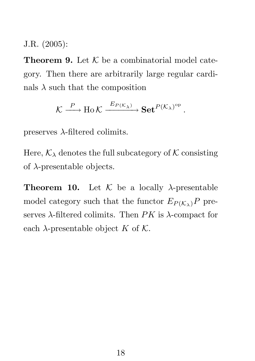J.R. (2005):

**Theorem 9.** Let  $K$  be a combinatorial model category. Then there are arbitrarily large regular cardinals  $\lambda$  such that the composition

$$
\mathcal{K} \xrightarrow{P} \text{Ho } \mathcal{K} \xrightarrow{E_{P(\mathcal{K}_{\lambda})}} \textbf{Set}^{P(\mathcal{K}_{\lambda})^{\text{op}}}
$$

.

preserves  $\lambda$ -filtered colimits.

Here,  $\mathcal{K}_{\lambda}$  denotes the full subcategory of K consisting of  $\lambda$ -presentable objects.

**Theorem 10.** Let  $K$  be a locally  $\lambda$ -presentable model category such that the functor  $E_{P(K_{\lambda})}P$  preserves  $\lambda$ -filtered colimits. Then PK is  $\lambda$ -compact for each  $\lambda$ -presentable object K of K.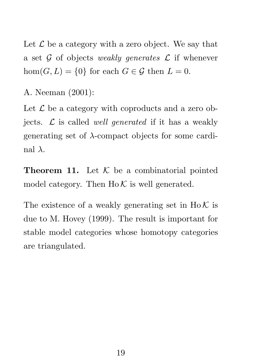Let  $\mathcal L$  be a category with a zero object. We say that a set  $\mathcal G$  of objects weakly generates  $\mathcal L$  if whenever hom $(G, L) = \{0\}$  for each  $G \in \mathcal{G}$  then  $L = 0$ .

A. Neeman (2001):

Let  $\mathcal L$  be a category with coproducts and a zero objects.  $\mathcal L$  is called well generated if it has a weakly generating set of  $\lambda$ -compact objects for some cardinal  $\lambda$ .

**Theorem 11.** Let  $K$  be a combinatorial pointed model category. Then  $H_0 K$  is well generated.

The existence of a weakly generating set in  $H_0 \mathcal{K}$  is due to M. Hovey (1999). The result is important for stable model categories whose homotopy categories are triangulated.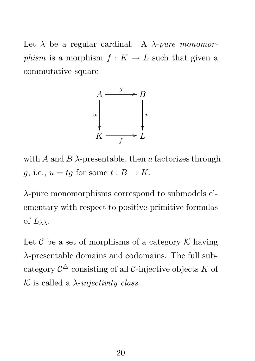Let  $\lambda$  be a regular cardinal. A  $\lambda$ -pure monomorphism is a morphism  $f: K \to L$  such that given a commutative square



with A and B  $\lambda$ -presentable, then u factorizes through g, i.e.,  $u = tg$  for some  $t : B \to K$ .

 $\lambda$ -pure monomorphisms correspond to submodels elementary with respect to positive-primitive formulas of  $L_{\lambda\lambda}$ .

Let  $\mathcal C$  be a set of morphisms of a category  $\mathcal K$  having λ-presentable domains and codomains. The full subcategory  $\mathcal{C}^\triangle$  consisting of all  $\mathcal{C}\text{-}\mathrm{injective}$  objects  $K$  of K is called a  $\lambda$ -*injectivity class.*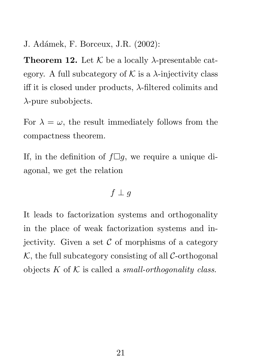J. Adámek, F. Borceux, J.R. (2002):

**Theorem 12.** Let  $K$  be a locally  $\lambda$ -presentable category. A full subcategory of  $K$  is a  $\lambda$ -injectivity class iff it is closed under products,  $\lambda$ -filtered colimits and  $\lambda$ -pure subobjects.

For  $\lambda = \omega$ , the result immediately follows from the compactness theorem.

If, in the definition of  $f\Box g$ , we require a unique diagonal, we get the relation

## $f \perp g$

It leads to factorization systems and orthogonality in the place of weak factorization systems and injectivity. Given a set  $\mathcal C$  of morphisms of a category  $K$ , the full subcategory consisting of all C-orthogonal objects K of K is called a small-orthogonality class.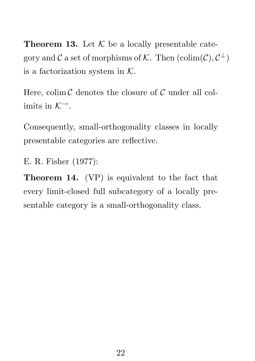**Theorem 13.** Let  $K$  be a locally presentable category and  $\mathcal C$  a set of morphisms of  $\mathcal K$ . Then  $(\mathrm{colim}(\mathcal C), \mathcal C^{\perp})$ is a factorization system in  $K$ .

Here, colim  $\mathcal C$  denotes the closure of  $\mathcal C$  under all colimits in  $K^{\rightarrow}$ .

Consequently, small-orthogonality classes in locally presentable categories are reflective.

E. R. Fisher (1977):

Theorem 14. (VP) is equivalent to the fact that every limit-closed full subcategory of a locally presentable category is a small-orthogonality class.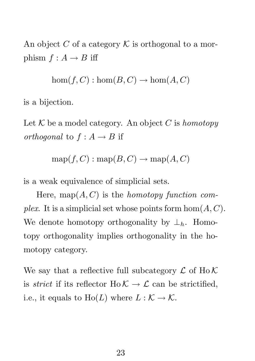An object C of a category  $\mathcal K$  is orthogonal to a morphism  $f : A \rightarrow B$  iff

 $hom(f, C) : hom(B, C) \to hom(A, C)$ 

is a bijection.

Let K be a model category. An object C is homotopy orthogonal to  $f : A \rightarrow B$  if

$$
\operatorname{map}(f, C) : \operatorname{map}(B, C) \to \operatorname{map}(A, C)
$$

is a weak equivalence of simplicial sets.

Here, map $(A, C)$  is the *homotopy function com*plex. It is a simplicial set whose points form  $hom(A, C)$ . We denote homotopy orthogonality by  $\perp_h$ . Homotopy orthogonality implies orthogonality in the homotopy category.

We say that a reflective full subcategory  $\mathcal L$  of Ho  $\mathcal K$ is *strict* if its reflector Ho  $K \to \mathcal{L}$  can be strictified, i.e., it equals to  $Ho(L)$  where  $L : K \to K$ .